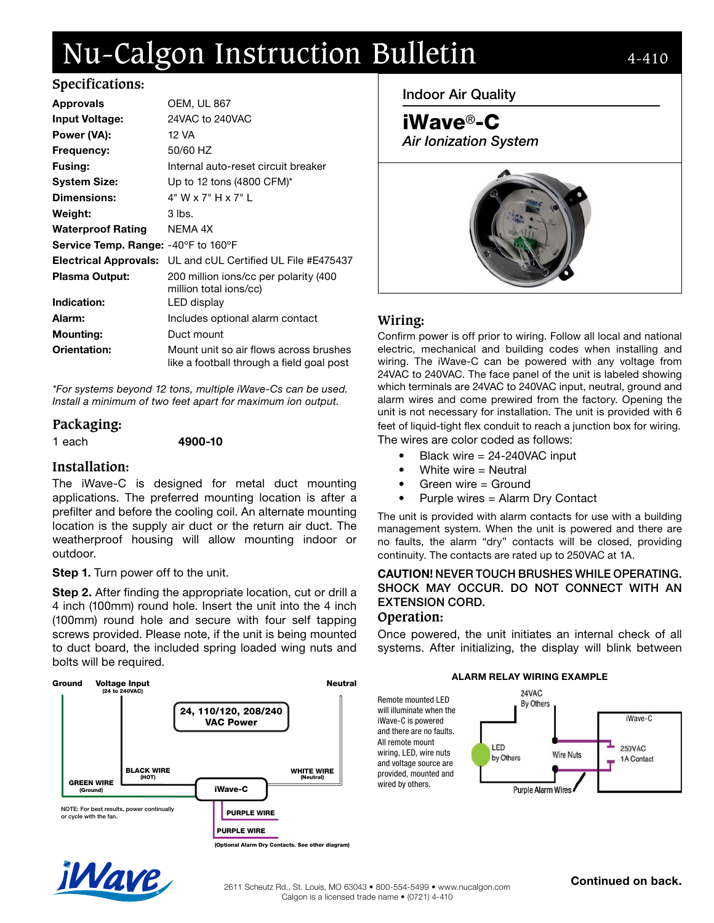# Nu-Calgon Instruction Bulletin 4-410

| <b>Approvals</b>                           | <b>OEM, UL 867</b>                                                                  |
|--------------------------------------------|-------------------------------------------------------------------------------------|
| <b>Input Voltage:</b>                      | 24VAC to 240VAC                                                                     |
| Power (VA):                                | 12 VA                                                                               |
| Frequency:                                 | 50/60 HZ                                                                            |
| <b>Fusing:</b>                             | Internal auto-reset circuit breaker                                                 |
| <b>System Size:</b>                        | Up to 12 tons $(4800 \text{ CFM})^*$                                                |
| Dimensions:                                | 4" W x 7" H x 7" L                                                                  |
| Weight:                                    | 3 lbs.                                                                              |
| <b>Waterproof Rating</b>                   | NEMA 4X                                                                             |
| <b>Service Temp. Range: -40°F to 160°F</b> |                                                                                     |
| <b>Electrical Approvals:</b>               | UL and cUL Certified UL File #E475437                                               |
| <b>Plasma Output:</b>                      | 200 million ions/cc per polarity (400<br>million total ions/cc)                     |
| Indication:                                | LED display                                                                         |
| Alarm:                                     | Includes optional alarm contact                                                     |
| <b>Mounting:</b>                           | Duct mount                                                                          |
| Orientation:                               | Mount unit so air flows across brushes<br>like a football through a field goal post |

\*For systems beyond 12 tons, multiple iWave-Cs can be used. Install a minimum of two feet apart for maximum ion output.

## **Packaging:**

1 each 4900-10

## **Installation:**

The iWave-C is designed for metal duct mounting applications. The preferred mounting location is after a prefilter and before the cooling coil. An alternate mounting location is the supply air duct or the return air duct. The weatherproof housing will allow mounting indoor or outdoor.

## Step 1. Turn power off to the unit.

Step 2. After finding the appropriate location, cut or drill a 4 inch (100mm) round hole. Insert the unit into the 4 inch (100mm) round hole and secure with four self tapping screws provided. Please note, if the unit is being mounted to duct board, the included spring loaded wing nuts and bolts will be required.



Indoor Air Quality



# **Wiring:**

Confirm power is off prior to wiring. Follow all local and national electric, mechanical and building codes when installing and wiring. The iWave-C can be powered with any voltage from 24VAC to 240VAC. The face panel of the unit is labeled showing which terminals are 24VAC to 240VAC input, neutral, ground and alarm wires and come prewired from the factory. Opening the unit is not necessary for installation. The unit is provided with 6 feet of liquid-tight flex conduit to reach a junction box for wiring. The wires are color coded as follows:

- Black wire = 24-240VAC input
- White wire  $=$  Neutral
- Green wire = Ground
- Purple wires = Alarm Dry Contact

The unit is provided with alarm contacts for use with a building management system. When the unit is powered and there are no faults, the alarm "dry" contacts will be closed, providing continuity. The contacts are rated up to 250VAC at 1A.

#### CAUTION! NEVER TOUCH BRUSHES WHILE OPERATING. SHOCK MAY OCCUR. DO NOT CONNECT WITH AN EXTENSION CORD. **Operation:**

Once powered, the unit initiates an internal check of all systems. After initializing, the display will blink between

#### ALARM RELAY WIRING EXAMPLE